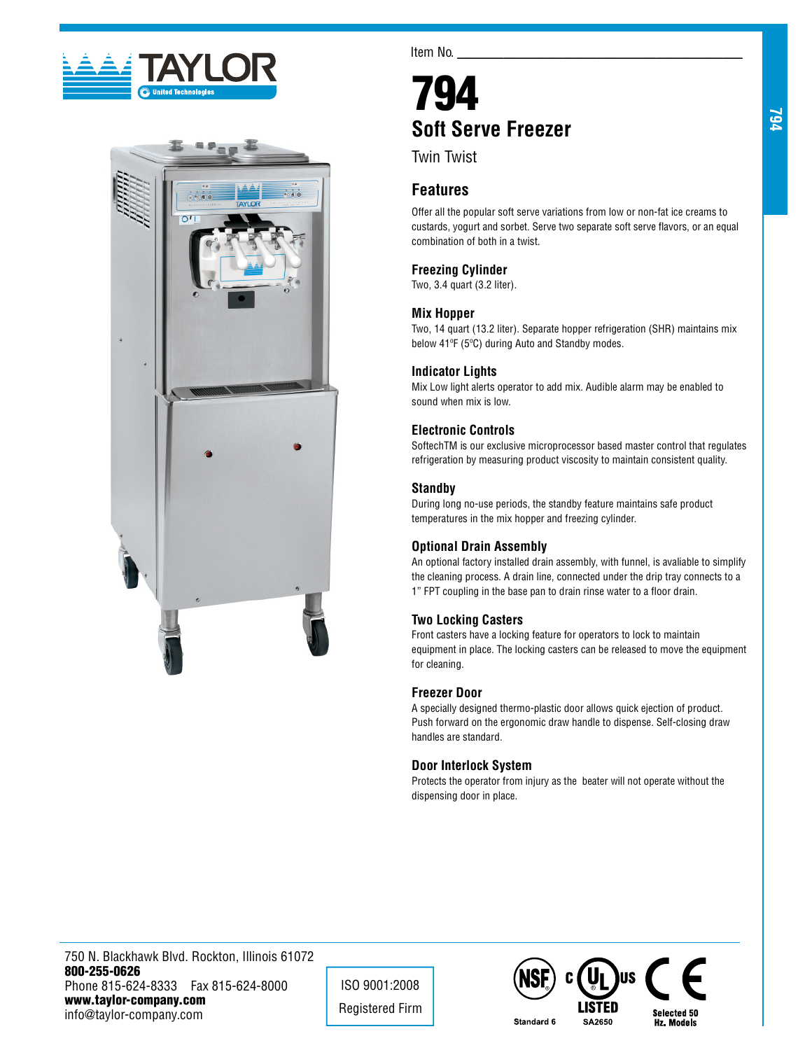



Item No.

# 794 **Soft Serve Freezer**

Twin Twist

# **Features**

Offer all the popular soft serve variations from low or non-fat ice creams to custards, yogurt and sorbet. Serve two separate soft serve flavors, or an equal combination of both in a twist.

# **Freezing Cylinder**

Two, 3.4 quart (3.2 liter).

## **Mix Hopper**

Two, 14 quart (13.2 liter). Separate hopper refrigeration (SHR) maintains mix below 41ºF (5ºC) during Auto and Standby modes.

## **Indicator Lights**

Mix Low light alerts operator to add mix. Audible alarm may be enabled to sound when mix is low.

## **Electronic Controls**

SoftechTM is our exclusive microprocessor based master control that regulates refrigeration by measuring product viscosity to maintain consistent quality.

## **Standby**

During long no-use periods, the standby feature maintains safe product temperatures in the mix hopper and freezing cylinder.

## **Optional Drain Assembly**

An optional factory installed drain assembly, with funnel, is avaliable to simplify the cleaning process. A drain line, connected under the drip tray connects to a 1" FPT coupling in the base pan to drain rinse water to a floor drain.

## **Two Locking Casters**

Front casters have a locking feature for operators to lock to maintain equipment in place. The locking casters can be released to move the equipment for cleaning.

## **Freezer Door**

A specially designed thermo-plastic door allows quick ejection of product. Push forward on the ergonomic draw handle to dispense. Self-closing draw handles are standard.

#### **Door Interlock System**

Protects the operator from injury as the beater will not operate without the dispensing door in place.

750 N. Blackhawk Blvd. Rockton, Illinois 61072 800-255-0626 Phone 815-624-8333 Fax 815-624-8000 www.taylor-company.com info@taylor-company.com

ISO 9001:2008 Registered Firm